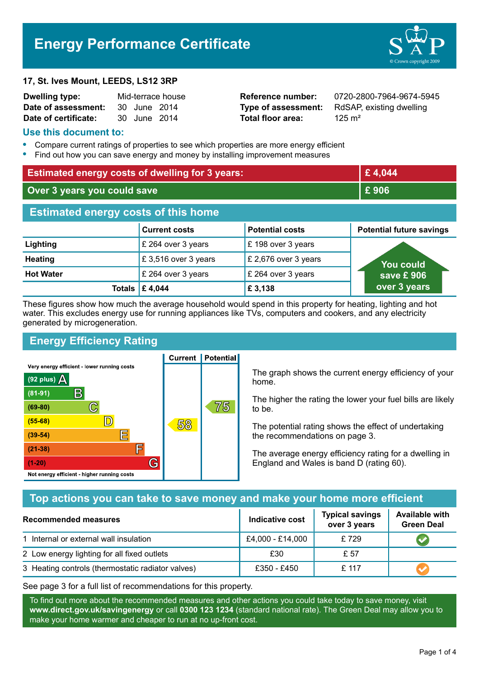# **Energy Performance Certificate**

#### **17, St. Ives Mount, LEEDS, LS12 3RP**

| Dwelling type:       | Mid-terrace house |              |  |
|----------------------|-------------------|--------------|--|
| Date of assessment:  |                   | 30 June 2014 |  |
| Date of certificate: |                   | 30 June 2014 |  |

**Total floor area:** 325 m<sup>2</sup>

**Reference number:** 0720-2800-7964-9674-5945 **Type of assessment:** RdSAP, existing dwelling

#### **Use this document to:**

- **•** Compare current ratings of properties to see which properties are more energy efficient
- **•** Find out how you can save energy and money by installing improvement measures

| <b>Estimated energy costs of dwelling for 3 years:</b> |                      | £4,044                 |                                 |
|--------------------------------------------------------|----------------------|------------------------|---------------------------------|
| Over 3 years you could save                            |                      | £906                   |                                 |
| <b>Estimated energy costs of this home</b>             |                      |                        |                                 |
|                                                        | <b>Current costs</b> | <b>Potential costs</b> | <b>Potential future savings</b> |
| Lighting                                               | £ 264 over 3 years   | £198 over 3 years      |                                 |
| <b>Heating</b>                                         | £3,516 over 3 years  | £ 2,676 over 3 years   | <b>You could</b>                |
| <b>Hot Water</b>                                       | £ 264 over 3 years   | £ 264 over 3 years     | save £906                       |
| Totals                                                 | £4,044               | £ 3,138                | over 3 years                    |

These figures show how much the average household would spend in this property for heating, lighting and hot water. This excludes energy use for running appliances like TVs, computers and cookers, and any electricity generated by microgeneration.

**Current | Potential** 

# **Energy Efficiency Rating**

Very energy efficient - lower running costs



The graph shows the current energy efficiency of your home.

The higher the rating the lower your fuel bills are likely to be.

The potential rating shows the effect of undertaking the recommendations on page 3.

The average energy efficiency rating for a dwelling in England and Wales is band D (rating 60).

# **Top actions you can take to save money and make your home more efficient**

| <b>Recommended measures</b>                       | Indicative cost  | <b>Typical savings</b><br>over 3 years | <b>Available with</b><br><b>Green Deal</b> |
|---------------------------------------------------|------------------|----------------------------------------|--------------------------------------------|
| 1 Internal or external wall insulation            | £4,000 - £14,000 | £729                                   |                                            |
| 2 Low energy lighting for all fixed outlets       | £30              | £ 57                                   |                                            |
| 3 Heating controls (thermostatic radiator valves) | £350 - £450      | £ 117                                  |                                            |

See page 3 for a full list of recommendations for this property.

To find out more about the recommended measures and other actions you could take today to save money, visit **www.direct.gov.uk/savingenergy** or call **0300 123 1234** (standard national rate). The Green Deal may allow you to make your home warmer and cheaper to run at no up-front cost.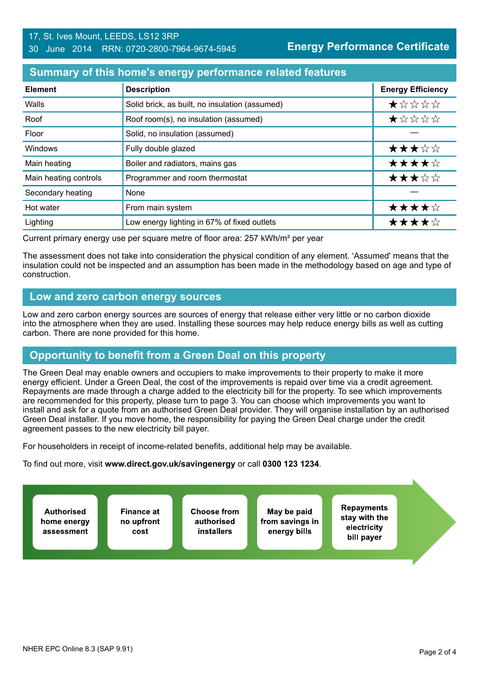### **Summary of this home's energy performance related features**

| <b>Element</b>        | <b>Description</b>                             | <b>Energy Efficiency</b> |
|-----------------------|------------------------------------------------|--------------------------|
| Walls                 | Solid brick, as built, no insulation (assumed) | *****                    |
| Roof                  | Roof room(s), no insulation (assumed)          | $\star$ * * * *          |
| Floor                 | Solid, no insulation (assumed)                 |                          |
| Windows               | Fully double glazed                            | ★★★☆☆                    |
| Main heating          | Boiler and radiators, mains gas                | ★★★★☆                    |
| Main heating controls | Programmer and room thermostat                 | ★★★☆☆                    |
| Secondary heating     | None                                           |                          |
| Hot water             | From main system                               | ★★★★☆                    |
| Lighting              | Low energy lighting in 67% of fixed outlets    | ★★★★☆                    |

Current primary energy use per square metre of floor area: 257 kWh/m² per year

The assessment does not take into consideration the physical condition of any element. 'Assumed' means that the insulation could not be inspected and an assumption has been made in the methodology based on age and type of construction.

## **Low and zero carbon energy sources**

Low and zero carbon energy sources are sources of energy that release either very little or no carbon dioxide into the atmosphere when they are used. Installing these sources may help reduce energy bills as well as cutting carbon. There are none provided for this home.

# **Opportunity to benefit from a Green Deal on this property**

The Green Deal may enable owners and occupiers to make improvements to their property to make it more energy efficient. Under a Green Deal, the cost of the improvements is repaid over time via a credit agreement. Repayments are made through a charge added to the electricity bill for the property. To see which improvements are recommended for this property, please turn to page 3. You can choose which improvements you want to install and ask for a quote from an authorised Green Deal provider. They will organise installation by an authorised Green Deal installer. If you move home, the responsibility for paying the Green Deal charge under the credit agreement passes to the new electricity bill payer.

For householders in receipt of income-related benefits, additional help may be available.

To find out more, visit **www.direct.gov.uk/savingenergy** or call **0300 123 1234**.

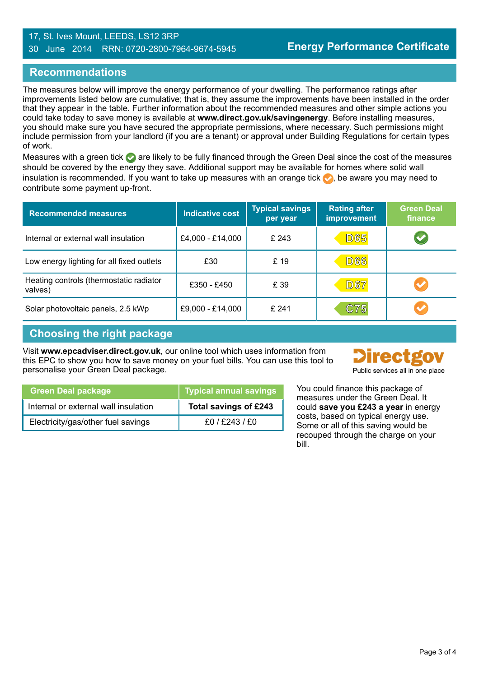#### 17, St. Ives Mount, LEEDS, LS12 3RP 30 June 2014 RRN: 0720-2800-7964-9674-5945

## **Recommendations**

The measures below will improve the energy performance of your dwelling. The performance ratings after improvements listed below are cumulative; that is, they assume the improvements have been installed in the order that they appear in the table. Further information about the recommended measures and other simple actions you could take today to save money is available at **www.direct.gov.uk/savingenergy**. Before installing measures, you should make sure you have secured the appropriate permissions, where necessary. Such permissions might include permission from your landlord (if you are a tenant) or approval under Building Regulations for certain types of work.

Measures with a green tick  $\bullet$  are likely to be fully financed through the Green Deal since the cost of the measures should be covered by the energy they save. Additional support may be available for homes where solid wall insulation is recommended. If you want to take up measures with an orange tick  $\bullet$ , be aware you may need to contribute some payment up-front.

| <b>Recommended measures</b>                        | <b>Indicative cost</b> | <b>Typical savings</b><br>per year | <b>Rating after</b><br><b>improvement</b> | <b>Green Deal</b><br>finance |
|----------------------------------------------------|------------------------|------------------------------------|-------------------------------------------|------------------------------|
| Internal or external wall insulation               | £4,000 - £14,000       | £ 243                              | <b>D65</b>                                |                              |
| Low energy lighting for all fixed outlets          | £30                    | £ 19                               | <b>D66</b>                                |                              |
| Heating controls (thermostatic radiator<br>valves) | £350 - £450            | £ 39                               | <b>D67</b>                                | $\blacktriangledown$         |
| Solar photovoltaic panels, 2.5 kWp                 | £9,000 - £14,000       | £241                               | C75                                       | $\blacktriangledown$         |

# **Choosing the right package**

Visit **www.epcadviser.direct.gov.uk**, our online tool which uses information from this EPC to show you how to save money on your fuel bills. You can use this tool to personalise your Green Deal package. The process of the public services all in one place



| <b>Green Deal package</b>            | <b>Typical annual savings</b> |
|--------------------------------------|-------------------------------|
| Internal or external wall insulation | Total savings of £243         |
| Electricity/gas/other fuel savings   | £0/£243/£0                    |

You could finance this package of measures under the Green Deal. It could **save you £243 a year** in energy costs, based on typical energy use. Some or all of this saving would be recouped through the charge on your bill.